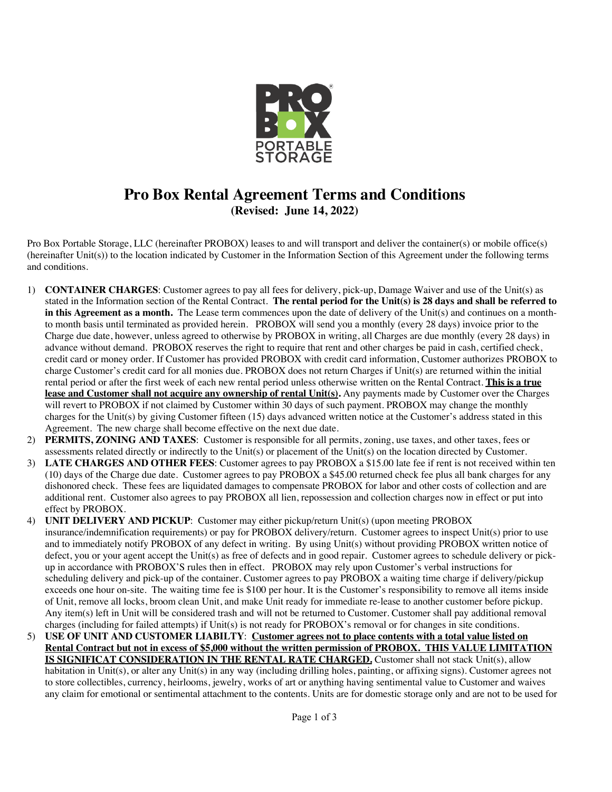

## **Pro Box Rental Agreement Terms and Conditions (Revised: June 14, 2022)**

Pro Box Portable Storage, LLC (hereinafter PROBOX) leases to and will transport and deliver the container(s) or mobile office(s) (hereinafter Unit(s)) to the location indicated by Customer in the Information Section of this Agreement under the following terms and conditions.

- 1) **CONTAINER CHARGES**: Customer agrees to pay all fees for delivery, pick-up, Damage Waiver and use of the Unit(s) as stated in the Information section of the Rental Contract. **The rental period for the Unit(s) is 28 days and shall be referred to in this Agreement as a month.** The Lease term commences upon the date of delivery of the Unit(s) and continues on a monthto month basis until terminated as provided herein. PROBOX will send you a monthly (every 28 days) invoice prior to the Charge due date, however, unless agreed to otherwise by PROBOX in writing, all Charges are due monthly (every 28 days) in advance without demand. PROBOX reserves the right to require that rent and other charges be paid in cash, certified check, credit card or money order. If Customer has provided PROBOX with credit card information, Customer authorizes PROBOX to charge Customer's credit card for all monies due. PROBOX does not return Charges if Unit(s) are returned within the initial rental period or after the first week of each new rental period unless otherwise written on the Rental Contract. **This is a true lease and Customer shall not acquire any ownership of rental Unit(s).** Any payments made by Customer over the Charges will revert to PROBOX if not claimed by Customer within 30 days of such payment. PROBOX may change the monthly charges for the Unit(s) by giving Customer fifteen (15) days advanced written notice at the Customer's address stated in this Agreement. The new charge shall become effective on the next due date.
- 2) **PERMITS, ZONING AND TAXES**: Customer is responsible for all permits, zoning, use taxes, and other taxes, fees or assessments related directly or indirectly to the Unit(s) or placement of the Unit(s) on the location directed by Customer.
- 3) **LATE CHARGES AND OTHER FEES**: Customer agrees to pay PROBOX a \$15.00 late fee if rent is not received within ten  $(10)$  days of the Charge due date. Customer agrees to pay PROBOX a \$45.00 returned check fee plus all bank charges for any dishonored check. These fees are liquidated damages to compensate PROBOX for labor and other costs of collection and are additional rent. Customer also agrees to pay PROBOX all lien, repossession and collection charges now in effect or put into effect by PROBOX.
- 4) **UNIT DELIVERY AND PICKUP**: Customer may either pickup/return Unit(s) (upon meeting PROBOX insurance/indemnification requirements) or pay for PROBOX delivery/return. Customer agrees to inspect Unit(s) prior to use and to immediately notify PROBOX of any defect in writing. By using Unit(s) without providing PROBOX written notice of defect, you or your agent accept the Unit(s) as free of defects and in good repair. Customer agrees to schedule delivery or pickup in accordance with PROBOX'S rules then in effect. PROBOX may rely upon Customer's verbal instructions for scheduling delivery and pick-up of the container. Customer agrees to pay PROBOX a waiting time charge if delivery/pickup exceeds one hour on-site. The waiting time fee is \$100 per hour. It is the Customer's responsibility to remove all items inside of Unit, remove all locks, broom clean Unit, and make Unit ready for immediate re-lease to another customer before pickup. Any item(s) left in Unit will be considered trash and will not be returned to Customer. Customer shall pay additional removal charges (including for failed attempts) if Unit(s) is not ready for PROBOX's removal or for changes in site conditions.
- 5) **USE OF UNIT AND CUSTOMER LIABILTY**: **Customer agrees not to place contents with a total value listed on Rental Contract but not in excess of \$5,000 without the written permission of PROBOX. THIS VALUE LIMITATION IS SIGNIFICAT CONSIDERATION IN THE RENTAL RATE CHARGED.** Customer shall not stack Unit(s), allow habitation in Unit(s), or alter any Unit(s) in any way (including drilling holes, painting, or affixing signs). Customer agrees not to store collectibles, currency, heirlooms, jewelry, works of art or anything having sentimental value to Customer and waives any claim for emotional or sentimental attachment to the contents. Units are for domestic storage only and are not to be used for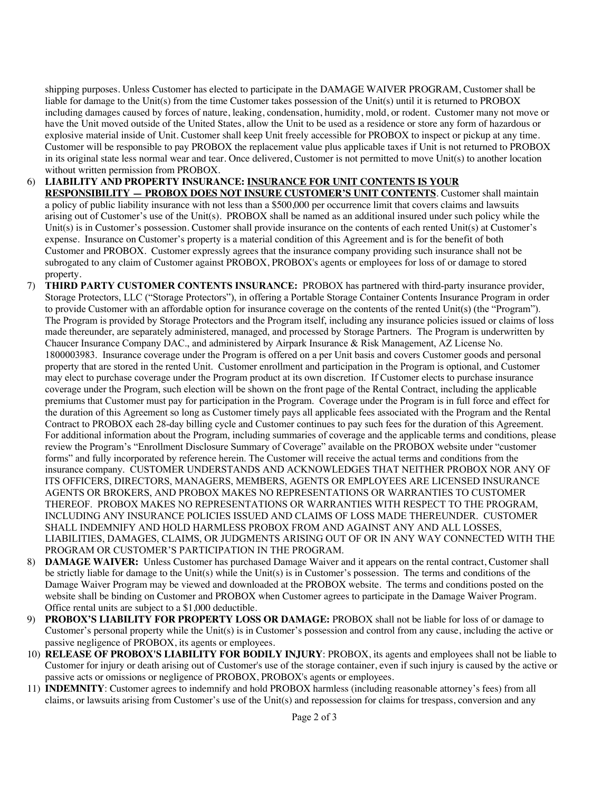shipping purposes. Unless Customer has elected to participate in the DAMAGE WAIVER PROGRAM, Customer shall be liable for damage to the Unit(s) from the time Customer takes possession of the Unit(s) until it is returned to PROBOX including damages caused by forces of nature, leaking, condensation, humidity, mold, or rodent. Customer many not move or have the Unit moved outside of the United States, allow the Unit to be used as a residence or store any form of hazardous or explosive material inside of Unit. Customer shall keep Unit freely accessible for PROBOX to inspect or pickup at any time. Customer will be responsible to pay PROBOX the replacement value plus applicable taxes if Unit is not returned to PROBOX in its original state less normal wear and tear. Once delivered, Customer is not permitted to move Unit(s) to another location without written permission from PROBOX.

- 6) **LIABILITY AND PROPERTY INSURANCE: INSURANCE FOR UNIT CONTENTS IS YOUR RESPONSIBILITY — PROBOX DOES NOT INSURE CUSTOMER'S UNIT CONTENTS**. Customer shall maintain a policy of public liability insurance with not less than a \$500,000 per occurrence limit that covers claims and lawsuits arising out of Customer's use of the Unit(s). PROBOX shall be named as an additional insured under such policy while the Unit(s) is in Customer's possession. Customer shall provide insurance on the contents of each rented Unit(s) at Customer's expense. Insurance on Customer's property is a material condition of this Agreement and is for the benefit of both Customer and PROBOX. Customer expressly agrees that the insurance company providing such insurance shall not be subrogated to any claim of Customer against PROBOX, PROBOX's agents or employees for loss of or damage to stored property.
- 7) **THIRD PARTY CUSTOMER CONTENTS INSURANCE:** PROBOX has partnered with third-party insurance provider, Storage Protectors, LLC ("Storage Protectors"), in offering a Portable Storage Container Contents Insurance Program in order to provide Customer with an affordable option for insurance coverage on the contents of the rented Unit(s) (the "Program"). The Program is provided by Storage Protectors and the Program itself, including any insurance policies issued or claims of loss made thereunder, are separately administered, managed, and processed by Storage Partners. The Program is underwritten by Chaucer Insurance Company DAC., and administered by Airpark Insurance & Risk Management, AZ License No. 1800003983. Insurance coverage under the Program is offered on a per Unit basis and covers Customer goods and personal property that are stored in the rented Unit. Customer enrollment and participation in the Program is optional, and Customer may elect to purchase coverage under the Program product at its own discretion. If Customer elects to purchase insurance coverage under the Program, such election will be shown on the front page of the Rental Contract, including the applicable premiums that Customer must pay for participation in the Program. Coverage under the Program is in full force and effect for the duration of this Agreement so long as Customer timely pays all applicable fees associated with the Program and the Rental Contract to PROBOX each 28-day billing cycle and Customer continues to pay such fees for the duration of this Agreement. For additional information about the Program, including summaries of coverage and the applicable terms and conditions, please review the Program's "Enrollment Disclosure Summary of Coverage" available on the PROBOX website under "customer forms" and fully incorporated by reference herein. The Customer will receive the actual terms and conditions from the insurance company. CUSTOMER UNDERSTANDS AND ACKNOWLEDGES THAT NEITHER PROBOX NOR ANY OF ITS OFFICERS, DIRECTORS, MANAGERS, MEMBERS, AGENTS OR EMPLOYEES ARE LICENSED INSURANCE AGENTS OR BROKERS, AND PROBOX MAKES NO REPRESENTATIONS OR WARRANTIES TO CUSTOMER THEREOF. PROBOX MAKES NO REPRESENTATIONS OR WARRANTIES WITH RESPECT TO THE PROGRAM, INCLUDING ANY INSURANCE POLICIES ISSUED AND CLAIMS OF LOSS MADE THEREUNDER. CUSTOMER SHALL INDEMNIFY AND HOLD HARMLESS PROBOX FROM AND AGAINST ANY AND ALL LOSSES, LIABILITIES, DAMAGES, CLAIMS, OR JUDGMENTS ARISING OUT OF OR IN ANY WAY CONNECTED WITH THE PROGRAM OR CUSTOMER'S PARTICIPATION IN THE PROGRAM.
- 8) **DAMAGE WAIVER:** Unless Customer has purchased Damage Waiver and it appears on the rental contract, Customer shall be strictly liable for damage to the Unit(s) while the Unit(s) is in Customer's possession. The terms and conditions of the Damage Waiver Program may be viewed and downloaded at the PROBOX website. The terms and conditions posted on the website shall be binding on Customer and PROBOX when Customer agrees to participate in the Damage Waiver Program. Office rental units are subject to a \$1,000 deductible.
- 9) **PROBOX'S LIABILITY FOR PROPERTY LOSS OR DAMAGE:** PROBOX shall not be liable for loss of or damage to Customer's personal property while the Unit(s) is in Customer's possession and control from any cause, including the active or passive negligence of PROBOX, its agents or employees.
- 10) **RELEASE OF PROBOX'S LIABILITY FOR BODILY INJURY**: PROBOX, its agents and employees shall not be liable to Customer for injury or death arising out of Customer's use of the storage container, even if such injury is caused by the active or passive acts or omissions or negligence of PROBOX, PROBOX's agents or employees.
- 11) **INDEMNITY**: Customer agrees to indemnify and hold PROBOX harmless (including reasonable attorney's fees) from all claims, or lawsuits arising from Customer's use of the Unit(s) and repossession for claims for trespass, conversion and any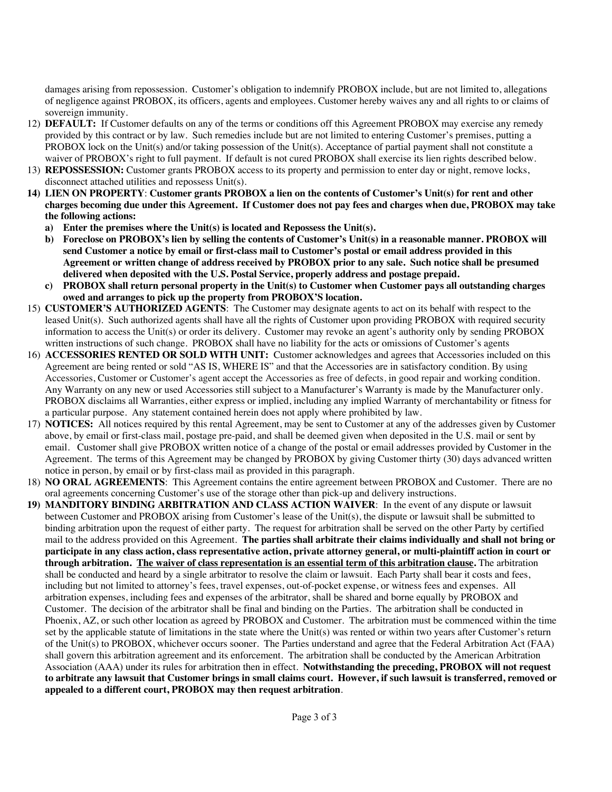damages arising from repossession. Customer's obligation to indemnify PROBOX include, but are not limited to, allegations of negligence against PROBOX, its officers, agents and employees. Customer hereby waives any and all rights to or claims of sovereign immunity.

- 12) **DEFAULT:** If Customer defaults on any of the terms or conditions off this Agreement PROBOX may exercise any remedy provided by this contract or by law. Such remedies include but are not limited to entering Customer's premises, putting a PROBOX lock on the Unit(s) and/or taking possession of the Unit(s). Acceptance of partial payment shall not constitute a waiver of PROBOX's right to full payment. If default is not cured PROBOX shall exercise its lien rights described below.
- 13) **REPOSSESSION:** Customer grants PROBOX access to its property and permission to enter day or night, remove locks, disconnect attached utilities and repossess Unit(s).
- **14) LIEN ON PROPERTY**: **Customer grants PROBOX a lien on the contents of Customer's Unit(s) for rent and other charges becoming due under this Agreement. If Customer does not pay fees and charges when due, PROBOX may take the following actions:**
	- **a) Enter the premises where the Unit(s) is located and Repossess the Unit(s).**
	- **b) Foreclose on PROBOX's lien by selling the contents of Customer's Unit(s) in a reasonable manner. PROBOX will send Customer a notice by email or first-class mail to Customer's postal or email address provided in this Agreement or written change of address received by PROBOX prior to any sale. Such notice shall be presumed delivered when deposited with the U.S. Postal Service, properly address and postage prepaid.**
	- **c) PROBOX shall return personal property in the Unit(s) to Customer when Customer pays all outstanding charges owed and arranges to pick up the property from PROBOX'S location.**
- 15) **CUSTOMER'S AUTHORIZED AGENTS**: The Customer may designate agents to act on its behalf with respect to the leased Unit(s). Such authorized agents shall have all the rights of Customer upon providing PROBOX with required security information to access the Unit(s) or order its delivery. Customer may revoke an agent's authority only by sending PROBOX written instructions of such change. PROBOX shall have no liability for the acts or omissions of Customer's agents
- 16) **ACCESSORIES RENTED OR SOLD WITH UNIT:** Customer acknowledges and agrees that Accessories included on this Agreement are being rented or sold "AS IS, WHERE IS" and that the Accessories are in satisfactory condition. By using Accessories, Customer or Customer's agent accept the Accessories as free of defects, in good repair and working condition. Any Warranty on any new or used Accessories still subject to a Manufacturer's Warranty is made by the Manufacturer only. PROBOX disclaims all Warranties, either express or implied, including any implied Warranty of merchantability or fitness for a particular purpose. Any statement contained herein does not apply where prohibited by law.
- 17) **NOTICES:** All notices required by this rental Agreement, may be sent to Customer at any of the addresses given by Customer above, by email or first-class mail, postage pre-paid, and shall be deemed given when deposited in the U.S. mail or sent by email. Customer shall give PROBOX written notice of a change of the postal or email addresses provided by Customer in the Agreement. The terms of this Agreement may be changed by PROBOX by giving Customer thirty (30) days advanced written notice in person, by email or by first-class mail as provided in this paragraph.
- 18) **NO ORAL AGREEMENTS**: This Agreement contains the entire agreement between PROBOX and Customer. There are no oral agreements concerning Customer's use of the storage other than pick-up and delivery instructions.
- **19) MANDITORY BINDING ARBITRATION AND CLASS ACTION WAIVER**: In the event of any dispute or lawsuit between Customer and PROBOX arising from Customer's lease of the Unit(s), the dispute or lawsuit shall be submitted to binding arbitration upon the request of either party. The request for arbitration shall be served on the other Party by certified mail to the address provided on this Agreement. **The parties shall arbitrate their claims individually and shall not bring or participate in any class action, class representative action, private attorney general, or multi-plaintiff action in court or through arbitration. The waiver of class representation is an essential term of this arbitration clause.** The arbitration shall be conducted and heard by a single arbitrator to resolve the claim or lawsuit. Each Party shall bear it costs and fees, including but not limited to attorney's fees, travel expenses, out-of-pocket expense, or witness fees and expenses. All arbitration expenses, including fees and expenses of the arbitrator, shall be shared and borne equally by PROBOX and Customer. The decision of the arbitrator shall be final and binding on the Parties. The arbitration shall be conducted in Phoenix, AZ, or such other location as agreed by PROBOX and Customer. The arbitration must be commenced within the time set by the applicable statute of limitations in the state where the Unit(s) was rented or within two years after Customer's return of the Unit(s) to PROBOX, whichever occurs sooner. The Parties understand and agree that the Federal Arbitration Act (FAA) shall govern this arbitration agreement and its enforcement. The arbitration shall be conducted by the American Arbitration Association (AAA) under its rules for arbitration then in effect. **Notwithstanding the preceding, PROBOX will not request to arbitrate any lawsuit that Customer brings in small claims court. However, if such lawsuit is transferred, removed or appealed to a different court, PROBOX may then request arbitration**.